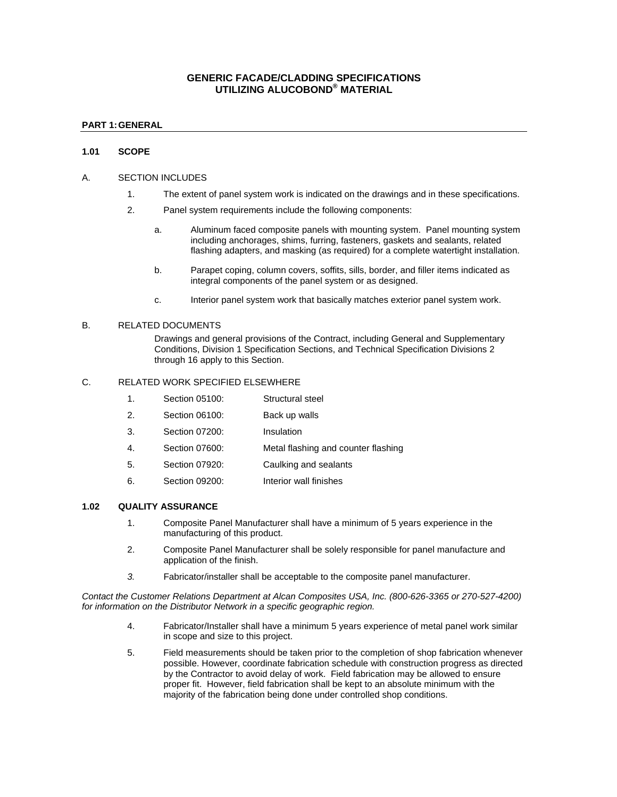# **GENERIC FACADE/CLADDING SPECIFICATIONS UTILIZING ALUCOBOND® MATERIAL**

## **PART 1: GENERAL**

### **1.01 SCOPE**

#### A. SECTION INCLUDES

- 1. The extent of panel system work is indicated on the drawings and in these specifications.
- 2. Panel system requirements include the following components:
	- a. Aluminum faced composite panels with mounting system. Panel mounting system including anchorages, shims, furring, fasteners, gaskets and sealants, related flashing adapters, and masking (as required) for a complete watertight installation.
	- b. Parapet coping, column covers, soffits, sills, border, and filler items indicated as integral components of the panel system or as designed.
	- c. Interior panel system work that basically matches exterior panel system work.

#### B. RELATED DOCUMENTS

Drawings and general provisions of the Contract, including General and Supplementary Conditions, Division 1 Specification Sections, and Technical Specification Divisions 2 through 16 apply to this Section.

### C. RELATED WORK SPECIFIED ELSEWHERE

- 1. Section 05100: Structural steel
- 2. Section 06100: Back up walls
- 3. Section 07200: Insulation
- 4. Section 07600: Metal flashing and counter flashing
- 5. Section 07920: Caulking and sealants
- 6. Section 09200: Interior wall finishes

#### **1.02 QUALITY ASSURANCE**

- 1. Composite Panel Manufacturer shall have a minimum of 5 years experience in the manufacturing of this product.
- 2. Composite Panel Manufacturer shall be solely responsible for panel manufacture and application of the finish.
- *3.* Fabricator/installer shall be acceptable to the composite panel manufacturer.

*Contact the Customer Relations Department at Alcan Composites USA, Inc. (800-626-3365 or 270-527-4200) for information on the Distributor Network in a specific geographic region.* 

- 4. Fabricator/Installer shall have a minimum 5 years experience of metal panel work similar in scope and size to this project.
- 5. Field measurements should be taken prior to the completion of shop fabrication whenever possible. However, coordinate fabrication schedule with construction progress as directed by the Contractor to avoid delay of work. Field fabrication may be allowed to ensure proper fit. However, field fabrication shall be kept to an absolute minimum with the majority of the fabrication being done under controlled shop conditions.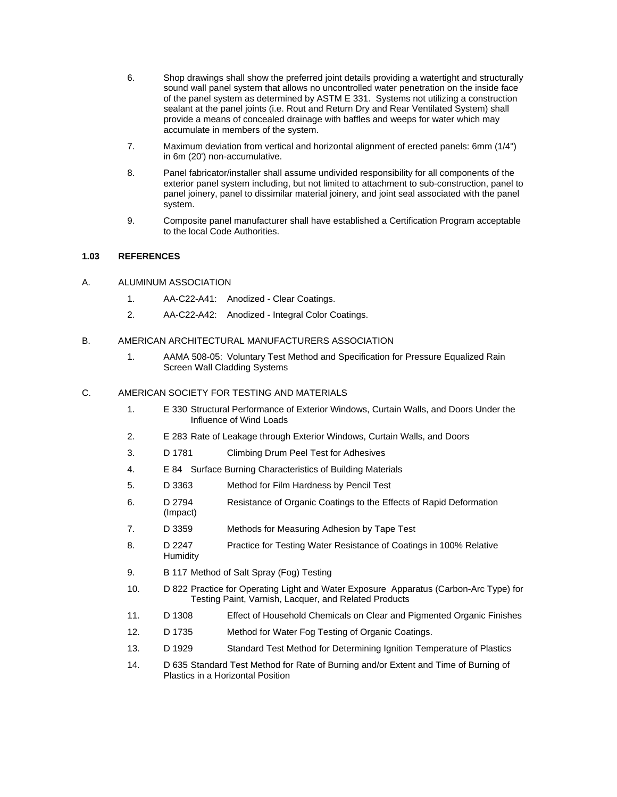- 6. Shop drawings shall show the preferred joint details providing a watertight and structurally sound wall panel system that allows no uncontrolled water penetration on the inside face of the panel system as determined by ASTM E 331. Systems not utilizing a construction sealant at the panel joints (i.e. Rout and Return Dry and Rear Ventilated System) shall provide a means of concealed drainage with baffles and weeps for water which may accumulate in members of the system.
- 7. Maximum deviation from vertical and horizontal alignment of erected panels: 6mm (1/4") in 6m (20') non-accumulative.
- 8. Panel fabricator/installer shall assume undivided responsibility for all components of the exterior panel system including, but not limited to attachment to sub-construction, panel to panel joinery, panel to dissimilar material joinery, and joint seal associated with the panel system.
- 9. Composite panel manufacturer shall have established a Certification Program acceptable to the local Code Authorities.

## **1.03 REFERENCES**

- A. ALUMINUM ASSOCIATION
	- 1. AA-C22-A41: Anodized Clear Coatings.
	- 2. AA-C22-A42: Anodized Integral Color Coatings.

### B. AMERICAN ARCHITECTURAL MANUFACTURERS ASSOCIATION

1. AAMA 508-05: Voluntary Test Method and Specification for Pressure Equalized Rain Screen Wall Cladding Systems

### C. AMERICAN SOCIETY FOR TESTING AND MATERIALS

- 1. E 330 Structural Performance of Exterior Windows, Curtain Walls, and Doors Under the Influence of Wind Loads
- 2. E 283 Rate of Leakage through Exterior Windows, Curtain Walls, and Doors
- 3. D 1781 Climbing Drum Peel Test for Adhesives
- 4. E 84 Surface Burning Characteristics of Building Materials
- 5. D 3363 Method for Film Hardness by Pencil Test
- 6. D 2794 Resistance of Organic Coatings to the Effects of Rapid Deformation (Impact)
- 7. D 3359 Methods for Measuring Adhesion by Tape Test
- 8. D 2247 Practice for Testing Water Resistance of Coatings in 100% Relative **Humidity**
- 9. B 117 Method of Salt Spray (Fog) Testing
- 10. D 822 Practice for Operating Light and Water Exposure Apparatus (Carbon-Arc Type) for Testing Paint, Varnish, Lacquer, and Related Products
- 11. D 1308 Effect of Household Chemicals on Clear and Pigmented Organic Finishes
- 12. D 1735 Method for Water Fog Testing of Organic Coatings.
- 13. D 1929 Standard Test Method for Determining Ignition Temperature of Plastics
- 14. D 635 Standard Test Method for Rate of Burning and/or Extent and Time of Burning of Plastics in a Horizontal Position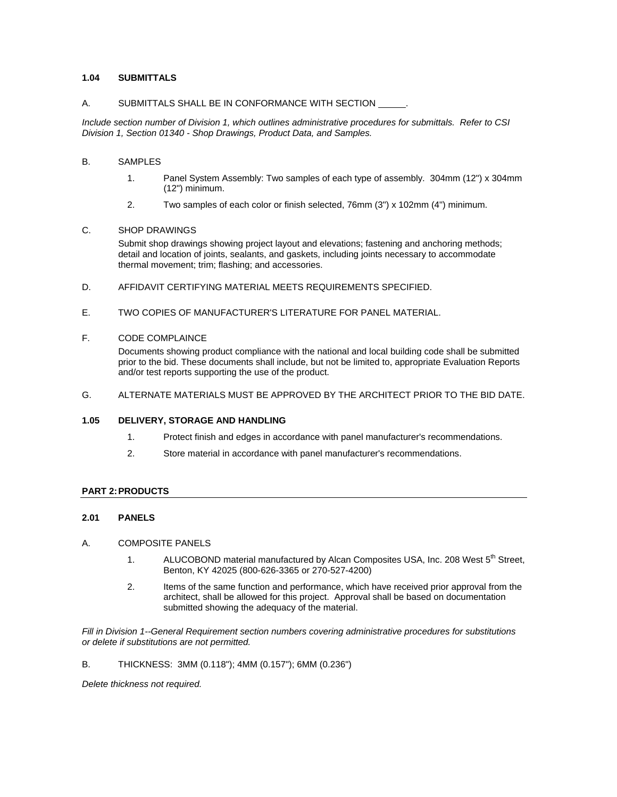## **1.04 SUBMITTALS**

#### A. SUBMITTALS SHALL BE IN CONFORMANCE WITH SECTION .

*Include section number of Division 1, which outlines administrative procedures for submittals. Refer to CSI Division 1, Section 01340 - Shop Drawings, Product Data, and Samples.* 

## B. SAMPLES

- 1. Panel System Assembly: Two samples of each type of assembly. 304mm (12") x 304mm (12") minimum.
- 2. Two samples of each color or finish selected, 76mm (3") x 102mm (4") minimum.

#### C. SHOP DRAWINGS

Submit shop drawings showing project layout and elevations; fastening and anchoring methods; detail and location of joints, sealants, and gaskets, including joints necessary to accommodate thermal movement; trim; flashing; and accessories.

- D. AFFIDAVIT CERTIFYING MATERIAL MEETS REQUIREMENTS SPECIFIED.
- E. TWO COPIES OF MANUFACTURER'S LITERATURE FOR PANEL MATERIAL.

### F. CODE COMPLAINCE

Documents showing product compliance with the national and local building code shall be submitted prior to the bid. These documents shall include, but not be limited to, appropriate Evaluation Reports and/or test reports supporting the use of the product.

G. ALTERNATE MATERIALS MUST BE APPROVED BY THE ARCHITECT PRIOR TO THE BID DATE.

#### **1.05 DELIVERY, STORAGE AND HANDLING**

- 1. Protect finish and edges in accordance with panel manufacturer's recommendations.
- 2. Store material in accordance with panel manufacturer's recommendations.

### **PART 2: PRODUCTS**

### **2.01 PANELS**

#### A. COMPOSITE PANELS

- 1. ALUCOBOND material manufactured by Alcan Composites USA, Inc. 208 West 5<sup>th</sup> Street, Benton, KY 42025 (800-626-3365 or 270-527-4200)
- 2. Items of the same function and performance, which have received prior approval from the architect, shall be allowed for this project. Approval shall be based on documentation submitted showing the adequacy of the material.

*Fill in Division 1--General Requirement section numbers covering administrative procedures for substitutions or delete if substitutions are not permitted.* 

### B. THICKNESS: 3MM (0.118"); 4MM (0.157"); 6MM (0.236")

*Delete thickness not required.*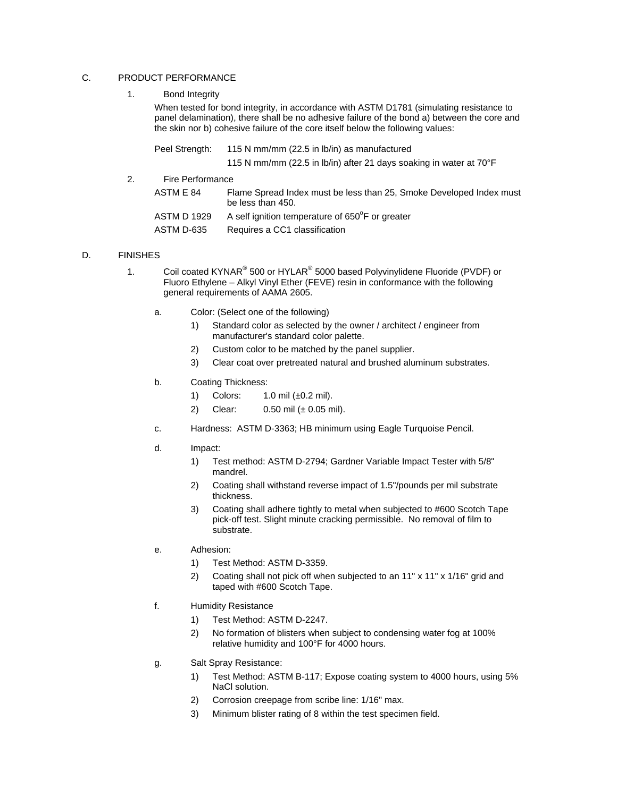## C. PRODUCT PERFORMANCE

1. Bond Integrity

When tested for bond integrity, in accordance with ASTM D1781 (simulating resistance to panel delamination), there shall be no adhesive failure of the bond a) between the core and the skin nor b) cohesive failure of the core itself below the following values:

|    | Peel Strength:          | 115 N mm/mm (22.5 in lb/in) as manufactured<br>115 N mm/mm (22.5 in lb/in) after 21 days soaking in water at 70°F |
|----|-------------------------|-------------------------------------------------------------------------------------------------------------------|
| 2. | <b>Fire Performance</b> |                                                                                                                   |
|    | ASTM E 84               | Flame Spread Index must be less than 25, Smoke Developed Index must<br>be less than 450.                          |
|    | <b>ASTM D 1929</b>      | A self ignition temperature of 650°F or greater                                                                   |
|    | ASTM D-635              | Requires a CC1 classification                                                                                     |

## D. FINISHES

- 1. Coil coated KYNAR<sup>®</sup> 500 or HYLAR<sup>®</sup> 5000 based Polyvinylidene Fluoride (PVDF) or Fluoro Ethylene – Alkyl Vinyl Ether (FEVE) resin in conformance with the following general requirements of AAMA 2605.
	- a. Color: (Select one of the following)
		- 1) Standard color as selected by the owner / architect / engineer from manufacturer's standard color palette.
		- 2) Custom color to be matched by the panel supplier.
		- 3) Clear coat over pretreated natural and brushed aluminum substrates.

## b. Coating Thickness:

- 1) Colors: 1.0 mil (±0.2 mil).
- 2) Clear: 0.50 mil (± 0.05 mil).
- c. Hardness: ASTM D-3363; HB minimum using Eagle Turquoise Pencil.
- d. Impact:
	- 1) Test method: ASTM D-2794; Gardner Variable Impact Tester with 5/8" mandrel.
	- 2) Coating shall withstand reverse impact of 1.5"/pounds per mil substrate thickness.
	- 3) Coating shall adhere tightly to metal when subjected to #600 Scotch Tape pick-off test. Slight minute cracking permissible. No removal of film to substrate.
- e. Adhesion:
	- 1) Test Method: ASTM D-3359.
	- 2) Coating shall not pick off when subjected to an 11" x 11" x 1/16" grid and taped with #600 Scotch Tape.
- f. Humidity Resistance
	- 1) Test Method: ASTM D-2247.
	- 2) No formation of blisters when subject to condensing water fog at 100% relative humidity and 100°F for 4000 hours.
- g. Salt Spray Resistance:
	- 1) Test Method: ASTM B-117; Expose coating system to 4000 hours, using 5% NaCl solution.
	- 2) Corrosion creepage from scribe line: 1/16" max.
	- 3) Minimum blister rating of 8 within the test specimen field.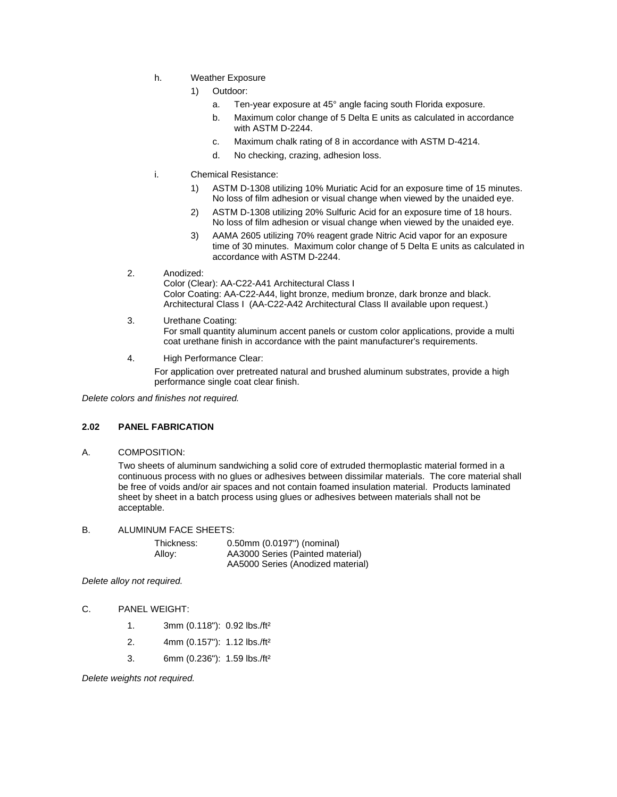- h. Weather Exposure
	- 1) Outdoor:
		- a. Ten-year exposure at 45° angle facing south Florida exposure.
		- b. Maximum color change of 5 Delta E units as calculated in accordance with ASTM D-2244.
		- c. Maximum chalk rating of 8 in accordance with ASTM D-4214.
		- d. No checking, crazing, adhesion loss.
- i. Chemical Resistance:
	- 1) ASTM D-1308 utilizing 10% Muriatic Acid for an exposure time of 15 minutes. No loss of film adhesion or visual change when viewed by the unaided eye.
	- 2) ASTM D-1308 utilizing 20% Sulfuric Acid for an exposure time of 18 hours. No loss of film adhesion or visual change when viewed by the unaided eye.
	- 3) AAMA 2605 utilizing 70% reagent grade Nitric Acid vapor for an exposure time of 30 minutes. Maximum color change of 5 Delta E units as calculated in accordance with ASTM D-2244.
- 2. Anodized:

Color (Clear): AA-C22-A41 Architectural Class I Color Coating: AA-C22-A44, light bronze, medium bronze, dark bronze and black. Architectural Class I (AA-C22-A42 Architectural Class II available upon request.)

- 3. Urethane Coating: For small quantity aluminum accent panels or custom color applications, provide a multi coat urethane finish in accordance with the paint manufacturer's requirements.
- 4. High Performance Clear:

For application over pretreated natural and brushed aluminum substrates, provide a high performance single coat clear finish.

*Delete colors and finishes not required.* 

### **2.02 PANEL FABRICATION**

A. COMPOSITION:

Two sheets of aluminum sandwiching a solid core of extruded thermoplastic material formed in a continuous process with no glues or adhesives between dissimilar materials. The core material shall be free of voids and/or air spaces and not contain foamed insulation material. Products laminated sheet by sheet in a batch process using glues or adhesives between materials shall not be acceptable.

B. ALUMINUM FACE SHEETS:

| Thickness: | 0.50mm (0.0197") (nominal)        |
|------------|-----------------------------------|
| Allov:     | AA3000 Series (Painted material)  |
|            | AA5000 Series (Anodized material) |

*Delete alloy not required.* 

### C. PANEL WEIGHT:

- 1. 3mm (0.118"): 0.92 lbs./ft²
- 2. 4mm (0.157"): 1.12 lbs./ft²
- 3. 6mm (0.236"): 1.59 lbs./ft²

*Delete weights not required.*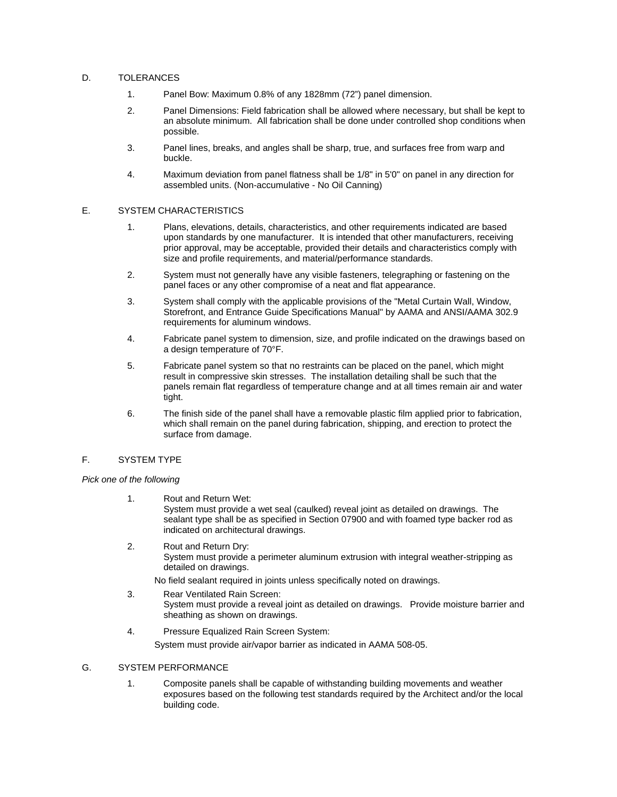## D. TOLERANCES

- 1. Panel Bow: Maximum 0.8% of any 1828mm (72") panel dimension.
- 2. Panel Dimensions: Field fabrication shall be allowed where necessary, but shall be kept to an absolute minimum. All fabrication shall be done under controlled shop conditions when possible.
- 3. Panel lines, breaks, and angles shall be sharp, true, and surfaces free from warp and buckle.
- 4. Maximum deviation from panel flatness shall be 1/8" in 5'0" on panel in any direction for assembled units. (Non-accumulative - No Oil Canning)

### E. SYSTEM CHARACTERISTICS

- 1. Plans, elevations, details, characteristics, and other requirements indicated are based upon standards by one manufacturer. It is intended that other manufacturers, receiving prior approval, may be acceptable, provided their details and characteristics comply with size and profile requirements, and material/performance standards.
- 2. System must not generally have any visible fasteners, telegraphing or fastening on the panel faces or any other compromise of a neat and flat appearance.
- 3. System shall comply with the applicable provisions of the "Metal Curtain Wall, Window, Storefront, and Entrance Guide Specifications Manual" by AAMA and ANSI/AAMA 302.9 requirements for aluminum windows.
- 4. Fabricate panel system to dimension, size, and profile indicated on the drawings based on a design temperature of 70°F.
- 5. Fabricate panel system so that no restraints can be placed on the panel, which might result in compressive skin stresses. The installation detailing shall be such that the panels remain flat regardless of temperature change and at all times remain air and water tight.
- 6. The finish side of the panel shall have a removable plastic film applied prior to fabrication, which shall remain on the panel during fabrication, shipping, and erection to protect the surface from damage.

### F. SYSTEM TYPE

### *Pick one of the following*

- 1. Rout and Return Wet: System must provide a wet seal (caulked) reveal joint as detailed on drawings. The sealant type shall be as specified in Section 07900 and with foamed type backer rod as indicated on architectural drawings.
- 2. Rout and Return Dry: System must provide a perimeter aluminum extrusion with integral weather-stripping as detailed on drawings.
	- No field sealant required in joints unless specifically noted on drawings.
- 3. Rear Ventilated Rain Screen: System must provide a reveal joint as detailed on drawings. Provide moisture barrier and sheathing as shown on drawings.
- 4. Pressure Equalized Rain Screen System: System must provide air/vapor barrier as indicated in AAMA 508-05.

### G. SYSTEM PERFORMANCE

1. Composite panels shall be capable of withstanding building movements and weather exposures based on the following test standards required by the Architect and/or the local building code.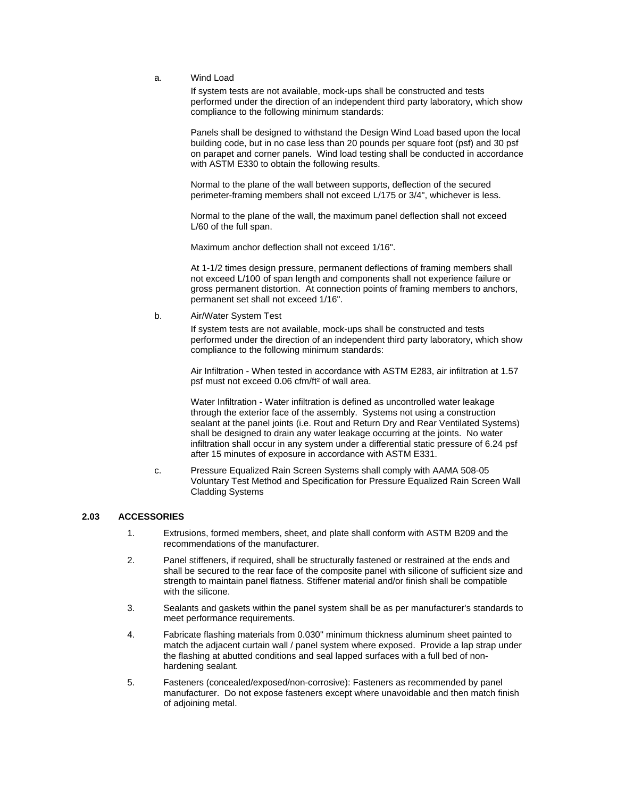## a. Wind Load

If system tests are not available, mock-ups shall be constructed and tests performed under the direction of an independent third party laboratory, which show compliance to the following minimum standards:

Panels shall be designed to withstand the Design Wind Load based upon the local building code, but in no case less than 20 pounds per square foot (psf) and 30 psf on parapet and corner panels. Wind load testing shall be conducted in accordance with ASTM E330 to obtain the following results.

Normal to the plane of the wall between supports, deflection of the secured perimeter-framing members shall not exceed L/175 or 3/4", whichever is less.

Normal to the plane of the wall, the maximum panel deflection shall not exceed L/60 of the full span.

Maximum anchor deflection shall not exceed 1/16".

At 1-1/2 times design pressure, permanent deflections of framing members shall not exceed L/100 of span length and components shall not experience failure or gross permanent distortion. At connection points of framing members to anchors, permanent set shall not exceed 1/16".

b. Air/Water System Test

If system tests are not available, mock-ups shall be constructed and tests performed under the direction of an independent third party laboratory, which show compliance to the following minimum standards:

Air Infiltration - When tested in accordance with ASTM E283, air infiltration at 1.57 psf must not exceed 0.06 cfm/ft² of wall area.

Water Infiltration - Water infiltration is defined as uncontrolled water leakage through the exterior face of the assembly. Systems not using a construction sealant at the panel joints (i.e. Rout and Return Dry and Rear Ventilated Systems) shall be designed to drain any water leakage occurring at the joints. No water infiltration shall occur in any system under a differential static pressure of 6.24 psf after 15 minutes of exposure in accordance with ASTM E331.

c. Pressure Equalized Rain Screen Systems shall comply with AAMA 508-05 Voluntary Test Method and Specification for Pressure Equalized Rain Screen Wall Cladding Systems

### **2.03 ACCESSORIES**

- 1. Extrusions, formed members, sheet, and plate shall conform with ASTM B209 and the recommendations of the manufacturer.
- 2. Panel stiffeners, if required, shall be structurally fastened or restrained at the ends and shall be secured to the rear face of the composite panel with silicone of sufficient size and strength to maintain panel flatness. Stiffener material and/or finish shall be compatible with the silicone.
- 3. Sealants and gaskets within the panel system shall be as per manufacturer's standards to meet performance requirements.
- 4. Fabricate flashing materials from 0.030" minimum thickness aluminum sheet painted to match the adjacent curtain wall / panel system where exposed. Provide a lap strap under the flashing at abutted conditions and seal lapped surfaces with a full bed of nonhardening sealant.
- 5. Fasteners (concealed/exposed/non-corrosive): Fasteners as recommended by panel manufacturer. Do not expose fasteners except where unavoidable and then match finish of adjoining metal.